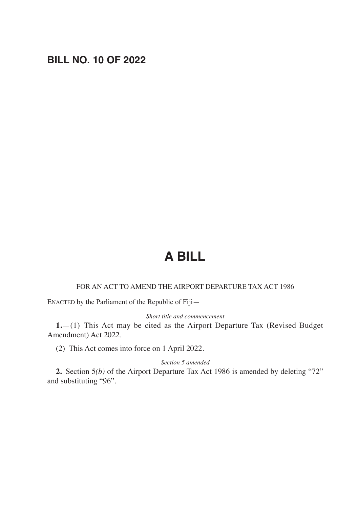## **BILL NO. 10 OF 2022**

# **A BILL**

#### FOR AN ACT TO AMEND THE AIRPORT DEPARTURE TAX ACT 1986

ENACTED by the Parliament of the Republic of Fiji—

#### *Short title and commencement*

**1.**—(1) This Act may be cited as the Airport Departure Tax (Revised Budget Amendment) Act 2022.

(2) This Act comes into force on 1 April 2022.

#### *Section 5 amended*

**2.** Section 5*(b)* of the Airport Departure Tax Act 1986 is amended by deleting "72" and substituting "96".